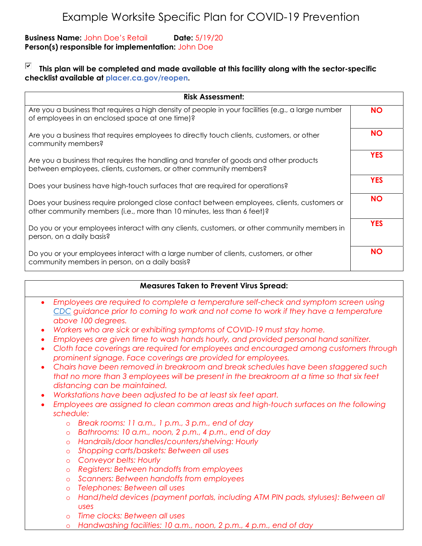## **Business Name:** John Doe's Retail **Date:** 5/19/20 **Person(s) responsible for implementation:** John Doe

## ☑ **This plan will be completed and made available at this facility along with the sector-specific checklist available at placer.ca.gov/reopen.**

| <b>Risk Assessment:</b>                                                                                                                                                |            |
|------------------------------------------------------------------------------------------------------------------------------------------------------------------------|------------|
| Are you a business that requires a high density of people in your facilities (e.g., a large number<br>of employees in an enclosed space at one time)?                  | <b>NO</b>  |
| Are you a business that requires employees to directly fouch clients, customers, or other<br>community members?                                                        | <b>NO</b>  |
| Are you a business that requires the handling and transfer of goods and other products<br>between employees, clients, customers, or other community members?           | <b>YES</b> |
| Does your business have high-touch surfaces that are required for operations?                                                                                          | <b>YES</b> |
| Does your business require prolonged close contact between employees, clients, customers or<br>other community members (i.e., more than 10 minutes, less than 6 feet)? | <b>NO</b>  |
| Do you or your employees interact with any clients, customers, or other community members in<br>person, on a daily basis?                                              | <b>YES</b> |
| Do you or your employees interact with a large number of clients, customers, or other<br>community members in person, on a daily basis?                                | <b>NO</b>  |

## **Measures Taken to Prevent Virus Spread:**

- *Employees are required to complete a temperature self-check and symptom screen using CDC guidance prior to coming to work and not come to work if they have a temperature above 100 degrees.*
- *Workers who are sick or exhibiting symptoms of COVID-19 must stay home.*
- *Employees are given time to wash hands hourly, and provided personal hand sanitizer.*
- *Cloth face coverings are required for employees and encouraged among customers through prominent signage. Face coverings are provided for employees.*
- *Chairs have been removed in breakroom and break schedules have been staggered such that no more than 3 employees will be present in the breakroom at a time so that six feet distancing can be maintained.*
- *Workstations have been adjusted to be at least six feet apart.*
- Employees are assigned to clean common areas and high-touch surfaces on the following *schedule:* 
	- o *Break rooms: 11 a.m., 1 p.m., 3 p.m., end of day*
	- o *Bathrooms: 10 a.m., noon, 2 p.m., 4 p.m., end of day*
	- o *Handrails/door handles/counters/shelving: Hourly*
	- o *Shopping carts/baskets: Between all uses*
	- o *Conveyor belts: Hourly*
	- o *Registers: Between handoffs from employees*
	- o *Scanners: Between handoffs from employees*
	- o *Telephones: Between all uses*
	- o *Hand/held devices (payment portals, including ATM PIN pads, styluses): Between all uses*
	- o *Time clocks: Between all uses*
	- o *Handwashing facilities: 10 a.m., noon, 2 p.m., 4 p.m., end of day*